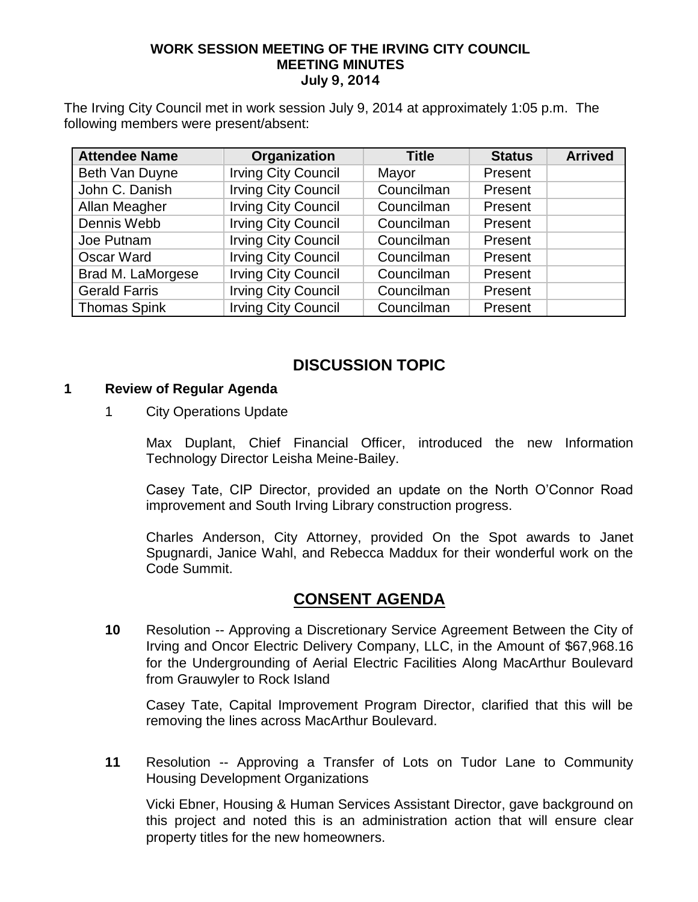### **WORK SESSION MEETING OF THE IRVING CITY COUNCIL MEETING MINUTES July 9, 2014**

The Irving City Council met in work session July 9, 2014 at approximately 1:05 p.m. The following members were present/absent:

| <b>Attendee Name</b> | Organization               | <b>Title</b> | <b>Status</b> | <b>Arrived</b> |
|----------------------|----------------------------|--------------|---------------|----------------|
| Beth Van Duyne       | <b>Irving City Council</b> | Mayor        | Present       |                |
| John C. Danish       | <b>Irving City Council</b> | Councilman   | Present       |                |
| Allan Meagher        | <b>Irving City Council</b> | Councilman   | Present       |                |
| Dennis Webb          | <b>Irving City Council</b> | Councilman   | Present       |                |
| Joe Putnam           | <b>Irving City Council</b> | Councilman   | Present       |                |
| Oscar Ward           | <b>Irving City Council</b> | Councilman   | Present       |                |
| Brad M. LaMorgese    | <b>Irving City Council</b> | Councilman   | Present       |                |
| <b>Gerald Farris</b> | <b>Irving City Council</b> | Councilman   | Present       |                |
| <b>Thomas Spink</b>  | <b>Irving City Council</b> | Councilman   | Present       |                |

## **DISCUSSION TOPIC**

#### **1 Review of Regular Agenda**

### 1 City Operations Update

Max Duplant, Chief Financial Officer, introduced the new Information Technology Director Leisha Meine-Bailey.

Casey Tate, CIP Director, provided an update on the North O'Connor Road improvement and South Irving Library construction progress.

Charles Anderson, City Attorney, provided On the Spot awards to Janet Spugnardi, Janice Wahl, and Rebecca Maddux for their wonderful work on the Code Summit.

## **CONSENT AGENDA**

**10** Resolution -- Approving a Discretionary Service Agreement Between the City of Irving and Oncor Electric Delivery Company, LLC, in the Amount of \$67,968.16 for the Undergrounding of Aerial Electric Facilities Along MacArthur Boulevard from Grauwyler to Rock Island

Casey Tate, Capital Improvement Program Director, clarified that this will be removing the lines across MacArthur Boulevard.

**11** Resolution -- Approving a Transfer of Lots on Tudor Lane to Community Housing Development Organizations

Vicki Ebner, Housing & Human Services Assistant Director, gave background on this project and noted this is an administration action that will ensure clear property titles for the new homeowners.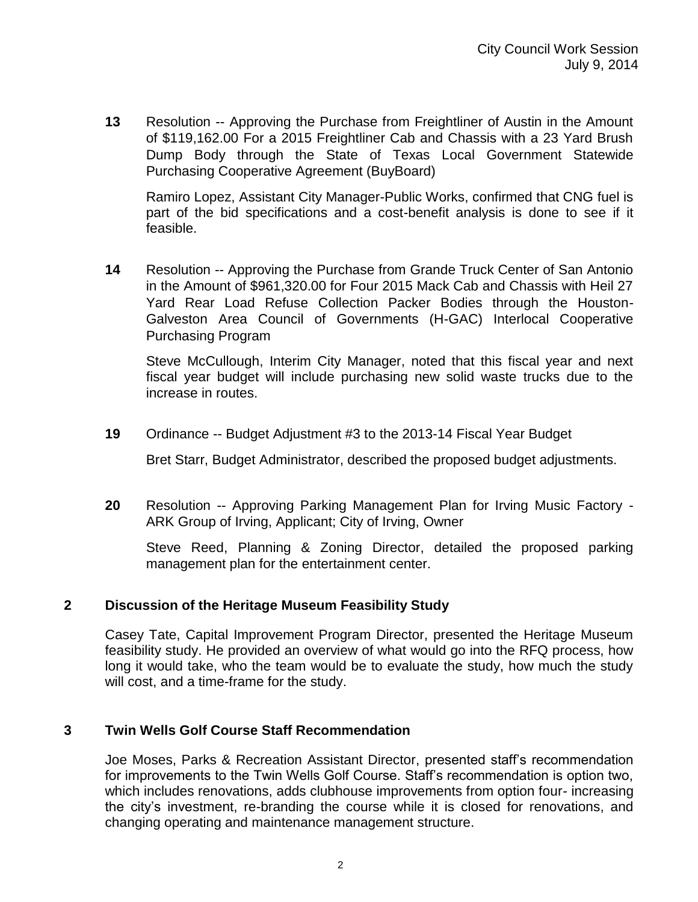**13** Resolution -- Approving the Purchase from Freightliner of Austin in the Amount of \$119,162.00 For a 2015 Freightliner Cab and Chassis with a 23 Yard Brush Dump Body through the State of Texas Local Government Statewide Purchasing Cooperative Agreement (BuyBoard)

Ramiro Lopez, Assistant City Manager-Public Works, confirmed that CNG fuel is part of the bid specifications and a cost-benefit analysis is done to see if it feasible.

**14** Resolution -- Approving the Purchase from Grande Truck Center of San Antonio in the Amount of \$961,320.00 for Four 2015 Mack Cab and Chassis with Heil 27 Yard Rear Load Refuse Collection Packer Bodies through the Houston-Galveston Area Council of Governments (H-GAC) Interlocal Cooperative Purchasing Program

Steve McCullough, Interim City Manager, noted that this fiscal year and next fiscal year budget will include purchasing new solid waste trucks due to the increase in routes.

**19** Ordinance -- Budget Adjustment #3 to the 2013-14 Fiscal Year Budget

Bret Starr, Budget Administrator, described the proposed budget adjustments.

**20** Resolution -- Approving Parking Management Plan for Irving Music Factory - ARK Group of Irving, Applicant; City of Irving, Owner

Steve Reed, Planning & Zoning Director, detailed the proposed parking management plan for the entertainment center.

### **2 Discussion of the Heritage Museum Feasibility Study**

Casey Tate, Capital Improvement Program Director, presented the Heritage Museum feasibility study. He provided an overview of what would go into the RFQ process, how long it would take, who the team would be to evaluate the study, how much the study will cost, and a time-frame for the study.

### **3 Twin Wells Golf Course Staff Recommendation**

Joe Moses, Parks & Recreation Assistant Director, presented staff's recommendation for improvements to the Twin Wells Golf Course. Staff's recommendation is option two, which includes renovations, adds clubhouse improvements from option four- increasing the city's investment, re-branding the course while it is closed for renovations, and changing operating and maintenance management structure.